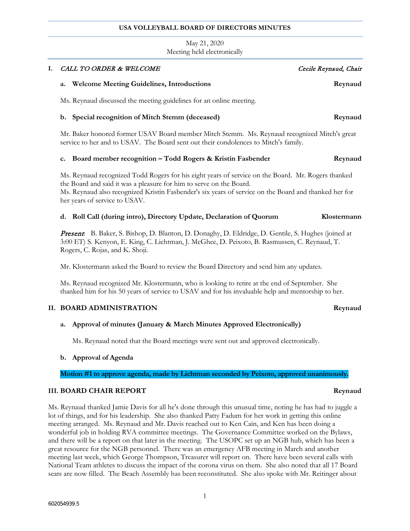### **USA VOLLEYBALL BOARD OF DIRECTORS MINUTES**

## May 21, 2020 Meeting held electronically

| I. | CALL TO ORDER & WELCOME                                                                                                                                                                                                                                                                                             | Cecile Reynaud, Chair |
|----|---------------------------------------------------------------------------------------------------------------------------------------------------------------------------------------------------------------------------------------------------------------------------------------------------------------------|-----------------------|
|    | <b>Welcome Meeting Guidelines, Introductions</b><br>a.                                                                                                                                                                                                                                                              | Reynaud               |
|    | Ms. Reynaud discussed the meeting guidelines for an online meeting.                                                                                                                                                                                                                                                 |                       |
|    | b. Special recognition of Mitch Stemm (deceased)                                                                                                                                                                                                                                                                    | Reynaud               |
|    | Mr. Baker honored former USAV Board member Mitch Stemm. Ms. Reynaud recognized Mitch's great<br>service to her and to USAV. The Board sent out their condolences to Mitch's family.                                                                                                                                 |                       |
|    | Board member recognition - Todd Rogers & Kristin Fasbender<br>c.                                                                                                                                                                                                                                                    | Reynaud               |
|    | Ms. Reynaud recognized Todd Rogers for his eight years of service on the Board. Mr. Rogers thanked<br>the Board and said it was a pleasure for him to serve on the Board.<br>Ms. Reynaud also recognized Kristin Fasbender's six years of service on the Board and thanked her for<br>her years of service to USAV. |                       |
|    | d. Roll Call (during intro), Directory Update, Declaration of Quorum                                                                                                                                                                                                                                                | Klostermann           |
|    | Present. B. Baker, S. Bishop, D. Blanton, D. Donaghy, D. Eldridge, D. Gentile, S. Hughes (joined at<br>3:00 ET) S. Kenyon, E. King, C. Lichtman, J. McGhee, D. Peixoto, B. Rasmussen, C. Reynaud, T.<br>Rogers, C. Rojas, and K. Shoji.                                                                             |                       |
|    | Mr. Klostermann asked the Board to review the Board Directory and send him any updates.                                                                                                                                                                                                                             |                       |
|    | Ms. Reynaud recognized Mr. Klostermann, who is looking to retire at the end of September. She<br>thanked him for his 50 years of service to USAV and for his invaluable help and mentorship to her.                                                                                                                 |                       |
|    | II. BOARD ADMINISTRATION                                                                                                                                                                                                                                                                                            | Reynaud               |
|    | Approval of minutes (January & March Minutes Approved Electronically)<br>a.                                                                                                                                                                                                                                         |                       |

Ms. Reynaud noted that the Board meetings were sent out and approved electronically.

## **b. Approval of Agenda**

**Motion #1 to approve agenda, made by Lichtman seconded by Peixoto, approved unanimously.**

## **III. BOARD CHAIR REPORT Reynaud**

Ms. Reynaud thanked Jamie Davis for all he's done through this unusual time, noting he has had to juggle a lot of things, and for his leadership. She also thanked Patty Fadum for her work in getting this online meeting arranged. Ms. Reynaud and Mr. Davis reached out to Ken Cain, and Ken has been doing a wonderful job in holding RVA committee meetings. The Governance Committee worked on the Bylaws, and there will be a report on that later in the meeting. The USOPC set up an NGB hub, which has been a great resource for the NGB personnel. There was an emergency AFB meeting in March and another meeting last week, which George Thompson, Treasurer will report on. There have been several calls with National Team athletes to discuss the impact of the corona virus on them. She also noted that all 17 Board seats are now filled. The Beach Assembly has been reconstituted. She also spoke with Mr. Reitinger about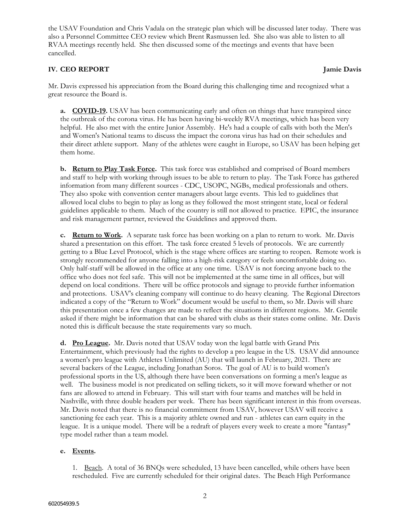the USAV Foundation and Chris Vadala on the strategic plan which will be discussed later today. There was also a Personnel Committee CEO review which Brent Rasmussen led. She also was able to listen to all RVAA meetings recently held. She then discussed some of the meetings and events that have been cancelled.

## **IV. CEO REPORT Jamie Davis**

Mr. Davis expressed his appreciation from the Board during this challenging time and recognized what a great resource the Board is.

**a. COVID-19.** USAV has been communicating early and often on things that have transpired since the outbreak of the corona virus. He has been having bi-weekly RVA meetings, which has been very helpful. He also met with the entire Junior Assembly. He's had a couple of calls with both the Men's and Women's National teams to discuss the impact the corona virus has had on their schedules and their direct athlete support. Many of the athletes were caught in Europe, so USAV has been helping get them home.

**b. Return to Play Task Force.** This task force was established and comprised of Board members and staff to help with working through issues to be able to return to play. The Task Force has gathered information from many different sources - CDC, USOPC, NGBs, medical professionals and others. They also spoke with convention center managers about large events. This led to guidelines that allowed local clubs to begin to play as long as they followed the most stringent state, local or federal guidelines applicable to them. Much of the country is still not allowed to practice. EPIC, the insurance and risk management partner, reviewed the Guidelines and approved them.

**c. Return to Work.** A separate task force has been working on a plan to return to work. Mr. Davis shared a presentation on this effort. The task force created 5 levels of protocols. We are currently getting to a Blue Level Protocol, which is the stage where offices are starting to reopen. Remote work is strongly recommended for anyone falling into a high-risk category or feels uncomfortable doing so. Only half-staff will be allowed in the office at any one time. USAV is not forcing anyone back to the office who does not feel safe. This will not be implemented at the same time in all offices, but will depend on local conditions. There will be office protocols and signage to provide further information and protections. USAV's cleaning company will continue to do heavy cleaning. The Regional Directors indicated a copy of the "Return to Work" document would be useful to them, so Mr. Davis will share this presentation once a few changes are made to reflect the situations in different regions. Mr. Gentile asked if there might be information that can be shared with clubs as their states come online. Mr. Davis noted this is difficult because the state requirements vary so much.

**d. Pro League.** Mr. Davis noted that USAV today won the legal battle with Grand Prix Entertainment, which previously had the rights to develop a pro league in the US. USAV did announce a women's pro league with Athletes Unlimited (AU) that will launch in February, 2021. There are several backers of the League, including Jonathan Soros. The goal of AU is to build women's professional sports in the US, although there have been conversations on forming a men's league as well. The business model is not predicated on selling tickets, so it will move forward whether or not fans are allowed to attend in February. This will start with four teams and matches will be held in Nashville, with three double headers per week. There has been significant interest in this from overseas. Mr. Davis noted that there is no financial commitment from USAV, however USAV will receive a sanctioning fee each year. This is a majority athlete owned and run - athletes can earn equity in the league. It is a unique model. There will be a redraft of players every week to create a more "fantasy" type model rather than a team model.

## **e. Events.**

1. Beach. A total of 36 BNQs were scheduled, 13 have been cancelled, while others have been rescheduled. Five are currently scheduled for their original dates. The Beach High Performance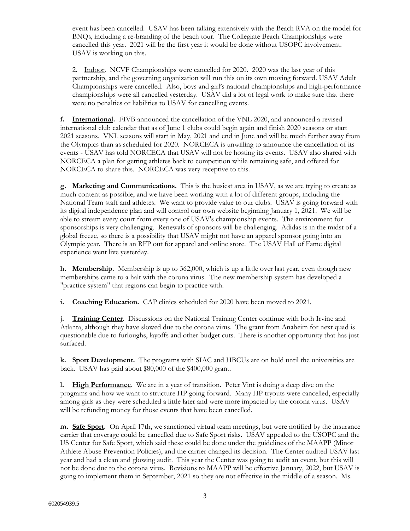event has been cancelled. USAV has been talking extensively with the Beach RVA on the model for BNQs, including a re-branding of the beach tour. The Collegiate Beach Championships were cancelled this year. 2021 will be the first year it would be done without USOPC involvement. USAV is working on this.

2. Indoor. NCVF Championships were cancelled for 2020. 2020 was the last year of this partnership, and the governing organization will run this on its own moving forward. USAV Adult Championships were cancelled. Also, boys and girl's national championships and high-performance championships were all cancelled yesterday. USAV did a lot of legal work to make sure that there were no penalties or liabilities to USAV for cancelling events.

**f. International.** FIVB announced the cancellation of the VNL 2020, and announced a revised international club calendar that as of June 1 clubs could begin again and finish 2020 seasons or start 2021 seasons. VNL seasons will start in May, 2021 and end in June and will be much further away from the Olympics than as scheduled for 2020. NORCECA is unwilling to announce the cancellation of its events - USAV has told NORCECA that USAV will not be hosting its events. USAV also shared with NORCECA a plan for getting athletes back to competition while remaining safe, and offered for NORCECA to share this. NORCECA was very receptive to this.

**g. Marketing and Communications.** This is the busiest area in USAV, as we are trying to create as much content as possible, and we have been working with a lot of different groups, including the National Team staff and athletes. We want to provide value to our clubs. USAV is going forward with its digital independence plan and will control our own website beginning January 1, 2021. We will be able to stream every court from every one of USAV's championship events. The environment for sponsorships is very challenging. Renewals of sponsors will be challenging. Adidas is in the midst of a global freeze, so there is a possibility that USAV might not have an apparel sponsor going into an Olympic year. There is an RFP out for apparel and online store. The USAV Hall of Fame digital experience went live yesterday.

**h. Membership.** Membership is up to 362,000, which is up a little over last year, even though new memberships came to a halt with the corona virus. The new membership system has developed a "practice system" that regions can begin to practice with.

**i. Coaching Education.** CAP clinics scheduled for 2020 have been moved to 2021.

**j. Training Center**. Discussions on the National Training Center continue with both Irvine and Atlanta, although they have slowed due to the corona virus. The grant from Anaheim for next quad is questionable due to furloughs, layoffs and other budget cuts. There is another opportunity that has just surfaced.

**k. Sport Development.** The programs with SIAC and HBCUs are on hold until the universities are back. USAV has paid about \$80,000 of the \$400,000 grant.

**l. High Performance**. We are in a year of transition. Peter Vint is doing a deep dive on the programs and how we want to structure HP going forward. Many HP tryouts were cancelled, especially among girls as they were scheduled a little later and were more impacted by the corona virus. USAV will be refunding money for those events that have been cancelled.

**m. Safe Sport.** On April 17th, we sanctioned virtual team meetings, but were notified by the insurance carrier that coverage could be cancelled due to Safe Sport risks. USAV appealed to the USOPC and the US Center for Safe Sport, which said these could be done under the guidelines of the MAAPP (Minor Athlete Abuse Prevention Policies), and the carrier changed its decision. The Center audited USAV last year and had a clean and glowing audit. This year the Center was going to audit an event, but this will not be done due to the corona virus. Revisions to MAAPP will be effective January, 2022, but USAV is going to implement them in September, 2021 so they are not effective in the middle of a season. Ms.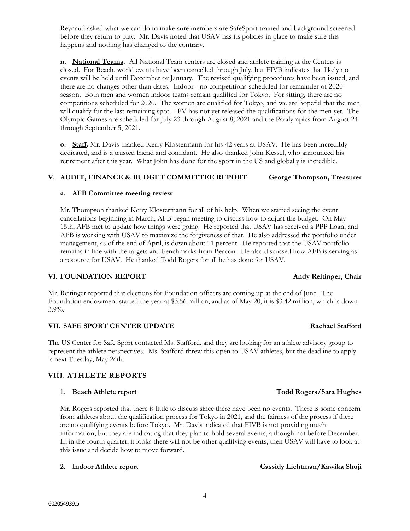Reynaud asked what we can do to make sure members are SafeSport trained and background screened before they return to play. Mr. Davis noted that USAV has its policies in place to make sure this happens and nothing has changed to the contrary.

**n. National Teams.** All National Team centers are closed and athlete training at the Centers is closed. For Beach, world events have been cancelled through July, but FIVB indicates that likely no events will be held until December or January. The revised qualifying procedures have been issued, and there are no changes other than dates. Indoor - no competitions scheduled for remainder of 2020 season. Both men and women indoor teams remain qualified for Tokyo. For sitting, there are no competitions scheduled for 2020. The women are qualified for Tokyo, and we are hopeful that the men will qualify for the last remaining spot. IPV has not yet released the qualifications for the men yet. The Olympic Games are scheduled for July 23 through August 8, 2021 and the Paralympics from August 24 through September 5, 2021.

**o. Staff.** Mr. Davis thanked Kerry Klostermann for his 42 years at USAV. He has been incredibly dedicated, and is a trusted friend and confidant. He also thanked John Kessel, who announced his retirement after this year. What John has done for the sport in the US and globally is incredible.

# **V. AUDIT, FINANCE & BUDGET COMMITTEE REPORT George Thompson, Treasurer**

# **a. AFB Committee meeting review**

Mr. Thompson thanked Kerry Klostermann for all of his help. When we started seeing the event cancellations beginning in March, AFB began meeting to discuss how to adjust the budget. On May 15th, AFB met to update how things were going. He reported that USAV has received a PPP Loan, and AFB is working with USAV to maximize the forgiveness of that. He also addressed the portfolio under management, as of the end of April, is down about 11 percent. He reported that the USAV portfolio remains in line with the targets and benchmarks from Beacon. He also discussed how AFB is serving as a resource for USAV. He thanked Todd Rogers for all he has done for USAV.

# **VI. FOUNDATION REPORT Andy Reitinger, Chair**

Mr. Reitinger reported that elections for Foundation officers are coming up at the end of June. The Foundation endowment started the year at \$3.56 million, and as of May 20, it is \$3.42 million, which is down 3.9%.

# **VII. SAFE SPORT CENTER UPDATE Rachael Stafford**

The US Center for Safe Sport contacted Ms. Stafford, and they are looking for an athlete advisory group to represent the athlete perspectives. Ms. Stafford threw this open to USAV athletes, but the deadline to apply is next Tuesday, May 26th.

# **VIII. ATHLETE REPORTS**

# **1. Beach Athlete report Todd Rogers/Sara Hughes**

Mr. Rogers reported that there is little to discuss since there have been no events. There is some concern from athletes about the qualification process for Tokyo in 2021, and the fairness of the process if there are no qualifying events before Tokyo. Mr. Davis indicated that FIVB is not providing much information, but they are indicating that they plan to hold several events, although not before December. If, in the fourth quarter, it looks there will not be other qualifying events, then USAV will have to look at this issue and decide how to move forward.

4

# **2. Indoor Athlete report Cassidy Lichtman/Kawika Shoji**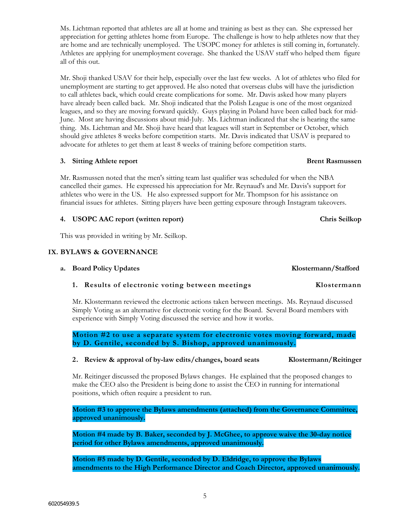Ms. Lichtman reported that athletes are all at home and training as best as they can. She expressed her appreciation for getting athletes home from Europe. The challenge is how to help athletes now that they are home and are technically unemployed. The USOPC money for athletes is still coming in, fortunately. Athletes are applying for unemployment coverage. She thanked the USAV staff who helped them figure all of this out.

Mr. Shoji thanked USAV for their help, especially over the last few weeks. A lot of athletes who filed for unemployment are starting to get approved. He also noted that overseas clubs will have the jurisdiction to call athletes back, which could create complications for some. Mr. Davis asked how many players have already been called back. Mr. Shoji indicated that the Polish League is one of the most organized leagues, and so they are moving forward quickly. Guys playing in Poland have been called back for mid-June. Most are having discussions about mid-July. Ms. Lichtman indicated that she is hearing the same thing. Ms. Lichtman and Mr. Shoji have heard that leagues will start in September or October, which should give athletes 8 weeks before competition starts. Mr. Davis indicated that USAV is prepared to advocate for athletes to get them at least 8 weeks of training before competition starts.

## **3.** Sitting Athlete report **Brent Rasmussen**

Mr. Rasmussen noted that the men's sitting team last qualifier was scheduled for when the NBA cancelled their games. He expressed his appreciation for Mr. Reynaud's and Mr. Davis's support for athletes who were in the US. He also expressed support for Mr. Thompson for his assistance on financial issues for athletes. Sitting players have been getting exposure through Instagram takeovers.

## **4. USOPC AAC report (written report) Chris Seilkop**

This was provided in writing by Mr. Seilkop.

## **IX. BYLAWS & GOVERNANCE**

## **a. Board Policy Updates Klostermann/Stafford**

## **1. Results of electronic voting between meetings Klostermann**

Mr. Klostermann reviewed the electronic actions taken between meetings. Ms. Reynaud discussed Simply Voting as an alternative for electronic voting for the Board. Several Board members with experience with Simply Voting discussed the service and how it works.

**Motion #2 to use a separate system for electronic votes moving forward, made by D. Gentile, seconded by S. Bishop, approved unanimously.**

### **2. Review & approval of by-law edits/changes, board seats Klostermann/Reitinger**

Mr. Reitinger discussed the proposed Bylaws changes. He explained that the proposed changes to make the CEO also the President is being done to assist the CEO in running for international positions, which often require a president to run.

**Motion #3 to approve the Bylaws amendments (attached) from the Governance Committee, approved unanimously.**

**Motion #4 made by B. Baker, seconded by J. McGhee, to approve waive the 30-day notice period for other Bylaws amendments, approved unanimously.**

**Motion #5 made by D. Gentile, seconded by D. Eldridge, to approve the Bylaws amendments to the High Performance Director and Coach Director, approved unanimously.**

5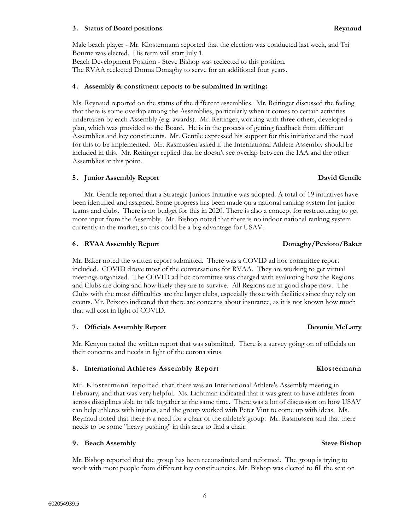### 602054939.5

Male beach player - Mr. Klostermann reported that the election was conducted last week, and Tri Bourne was elected. His term will start July 1.

Beach Development Position - Steve Bishop was reelected to this position. The RVAA reelected Donna Donaghy to serve for an additional four years.

### **4. Assembly & constituent reports to be submitted in writing:**

Ms. Reynaud reported on the status of the different assemblies. Mr. Reitinger discussed the feeling that there is some overlap among the Assemblies, particularly when it comes to certain activities undertaken by each Assembly (e.g. awards). Mr. Reitinger, working with three others, developed a plan, which was provided to the Board. He is in the process of getting feedback from different Assemblies and key constituents. Mr. Gentile expressed his support for this initiative and the need for this to be implemented. Mr. Rasmussen asked if the International Athlete Assembly should be included in this. Mr. Reitinger replied that he doesn't see overlap between the IAA and the other Assemblies at this point.

### **5. Junior Assembly Report David Gentile**

Mr. Gentile reported that a Strategic Juniors Initiative was adopted. A total of 19 initiatives have been identified and assigned. Some progress has been made on a national ranking system for junior teams and clubs. There is no budget for this in 2020. There is also a concept for restructuring to get more input from the Assembly. Mr. Bishop noted that there is no indoor national ranking system currently in the market, so this could be a big advantage for USAV.

### **6. RVAA Assembly Report Donaghy/Pexioto/Baker**

Mr. Baker noted the written report submitted. There was a COVID ad hoc committee report included. COVID drove most of the conversations for RVAA. They are working to get virtual meetings organized. The COVID ad hoc committee was charged with evaluating how the Regions and Clubs are doing and how likely they are to survive. All Regions are in good shape now. The Clubs with the most difficulties are the larger clubs, especially those with facilities since they rely on events. Mr. Peixoto indicated that there are concerns about insurance, as it is not known how much that will cost in light of COVID.

### **7. Officials Assembly Report Devonie McLarty**

Mr. Kenyon noted the written report that was submitted. There is a survey going on of officials on their concerns and needs in light of the corona virus.

### **8. International Athletes Assembly Report Klostermann**

Mr. Klostermann reported that there was an International Athlete's Assembly meeting in February, and that was very helpful. Ms. Lichtman indicated that it was great to have athletes from across disciplines able to talk together at the same time. There was a lot of discussion on how USAV can help athletes with injuries, and the group worked with Peter Vint to come up with ideas. Ms. Reynaud noted that there is a need for a chair of the athlete's group. Mr. Rasmussen said that there needs to be some "heavy pushing" in this area to find a chair.

### **9.** Beach Assembly **Steve Bishop** Steve Bishop

Mr. Bishop reported that the group has been reconstituted and reformed. The group is trying to work with more people from different key constituencies. Mr. Bishop was elected to fill the seat on

6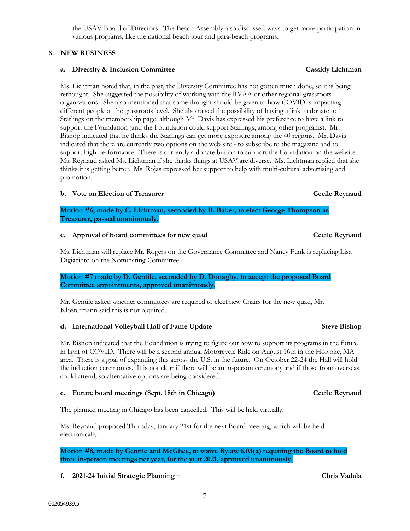the USAV Board of Directors. The Beach Assembly also discussed ways to get more participation in various programs, like the national beach tour and para-beach programs.

## **X. NEW BUSINESS**

## **a. Diversity & Inclusion Committee Cassidy Lichtman**

Ms. Lichtman noted that, in the past, the Diversity Committee has not gotten much done, so it is being rethought. She suggested the possibility of working with the RVAA or other regional grassroots organizations. She also mentioned that some thought should be given to how COVID is impacting different people at the grassroots level. She also raised the possibility of having a link to donate to Starlings on the membership page, although Mr. Davis has expressed his preference to have a link to support the Foundation (and the Foundation could support Starlings, among other programs). Mr. Bishop indicated that he thinks the Starlings can get more exposure among the 40 regions. Mr. Davis indicated that there are currently two options on the web site - to subscribe to the magazine and to support high performance. There is currently a donate button to support the Foundation on the website. Ms. Reynaud asked Ms. Lichtman if she thinks things at USAV are diverse. Ms. Lichtman replied that she thinks it is getting better. Ms. Rojas expressed her support to help with multi-cultural advertising and promotion.

## **b. Vote on Election of Treasurer Cecile Reynaud**

**Motion #6, made by C. Lichtman, seconded by B. Baker, to elect George Thompson as Treasurer, passed unanimously.**

## **c. Approval of board committees for new quad Cecile Reynaud**

Ms. Lichtman will replace Mr. Rogers on the Governance Committee and Nancy Funk is replacing Lisa Digiacinto on the Nominating Committee.

**Motion #7 made by D. Gentile, seconded by D. Donaghy, to accept the proposed Board Committee appointments, approved unanimously.**

Mr. Gentile asked whether committees are required to elect new Chairs for the new quad, Mr. Klostermann said this is not required.

## **d. International Volleyball Hall of Fame Update Steve Bishop**

Mr. Bishop indicated that the Foundation is trying to figure out how to support its programs in the future in light of COVID. There will be a second annual Motorcycle Ride on August 16th in the Holyoke, MA area. There is a goal of expanding this across the U.S. in the future. On October 22-24 the Hall will hold the induction ceremonies. It is not clear if there will be an in-person ceremony and if those from overseas could attend, so alternative options are being considered.

## **e. Future board meetings (Sept. 18th in Chicago) Cecile Reynaud**

The planned meeting in Chicago has been cancelled. This will be held virtually.

Ms. Reynaud proposed Thursday, January 21st for the next Board meeting, which will be held electronically.

**Motion #8, made by Gentile and McGhee, to waive Bylaw 6.03(a) requiring the Board to hold three in-person meetings per year, for the year 2021, approved unanimously.**

**f. 2021-24 Initial Strategic Planning – Chris Vadala**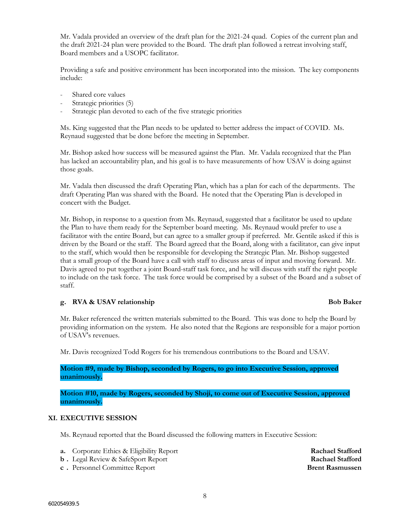Mr. Vadala provided an overview of the draft plan for the 2021-24 quad. Copies of the current plan and the draft 2021-24 plan were provided to the Board. The draft plan followed a retreat involving staff, Board members and a USOPC facilitator.

Providing a safe and positive environment has been incorporated into the mission. The key components include:

- Shared core values
- Strategic priorities (5)
- Strategic plan devoted to each of the five strategic priorities

Ms. King suggested that the Plan needs to be updated to better address the impact of COVID. Ms. Reynaud suggested that be done before the meeting in September.

Mr. Bishop asked how success will be measured against the Plan. Mr. Vadala recognized that the Plan has lacked an accountability plan, and his goal is to have measurements of how USAV is doing against those goals.

Mr. Vadala then discussed the draft Operating Plan, which has a plan for each of the departments. The draft Operating Plan was shared with the Board. He noted that the Operating Plan is developed in concert with the Budget.

Mr. Bishop, in response to a question from Ms. Reynaud, suggested that a facilitator be used to update the Plan to have them ready for the September board meeting. Ms. Reynaud would prefer to use a facilitator with the entire Board, but can agree to a smaller group if preferred. Mr. Gentile asked if this is driven by the Board or the staff. The Board agreed that the Board, along with a facilitator, can give input to the staff, which would then be responsible for developing the Strategic Plan. Mr. Bishop suggested that a small group of the Board have a call with staff to discuss areas of input and moving forward. Mr. Davis agreed to put together a joint Board-staff task force, and he will discuss with staff the right people to include on the task force. The task force would be comprised by a subset of the Board and a subset of staff.

## **g. RVA & USAV relationship Bob Baker**

Mr. Baker referenced the written materials submitted to the Board. This was done to help the Board by providing information on the system. He also noted that the Regions are responsible for a major portion of USAV's revenues.

Mr. Davis recognized Todd Rogers for his tremendous contributions to the Board and USAV.

**Motion #9, made by Bishop, seconded by Rogers, to go into Executive Session, approved unanimously.**

**Motion #10, made by Rogers, seconded by Shoji, to come out of Executive Session, approved unanimously.**

### **XI. EXECUTIVE SESSION**

Ms. Reynaud reported that the Board discussed the following matters in Executive Session:

- **a.** Corporate Ethics & Eligibility Report **Rachael Stafford**
- **b** . Legal Review & SafeSport Report **Rachael Stafford Rachael Stafford**
- **c** . Personnel Committee Report **Brent Rasmussen**